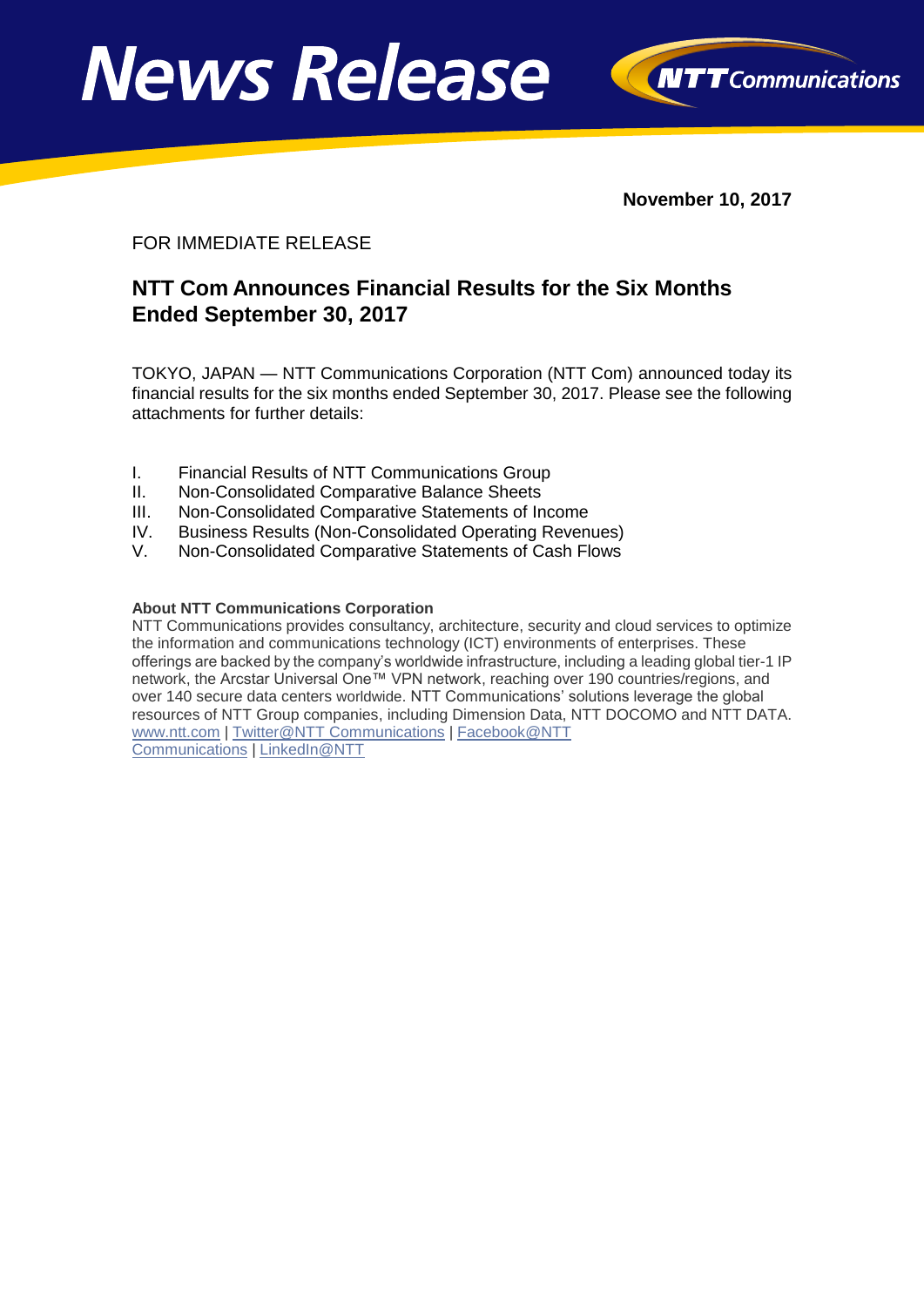



**November 10, 2017**

#### FOR IMMEDIATE RELEASE

### **NTT Com Announces Financial Results for the Six Months Ended September 30, 2017**

TOKYO, JAPAN — NTT Communications Corporation (NTT Com) announced today its financial results for the six months ended September 30, 2017. Please see the following attachments for further details:

- I. Financial Results of NTT Communications Group
- II. Non-Consolidated Comparative Balance Sheets
- III. Non-Consolidated Comparative Statements of Income
- IV. Business Results (Non-Consolidated Operating Revenues)
- V. Non-Consolidated Comparative Statements of Cash Flows

#### **About NTT Communications Corporation**

NTT Communications provides consultancy, architecture, security and cloud services to optimize the information and communications technology (ICT) environments of enterprises. These offerings are backed by the company's worldwide infrastructure, including a leading global tier-1 IP network, the Arcstar Universal One™ VPN network, reaching over 190 countries/regions, and over 140 secure data centers worldwide. NTT Communications' solutions leverage the global resources of NTT Group companies, including Dimension Data, NTT DOCOMO and NTT DATA. [www.ntt.com](http://www.ntt.com/index-e.html) | [Twitter@NTT Communications](http://www.twitter.com/nttcom) | [Facebook@NTT](http://www.facebook.com/nttcomtv)  [Communications](http://www.facebook.com/nttcomtv) | [LinkedIn@NTT](http://www.linkedin.com/company/ntt-communications)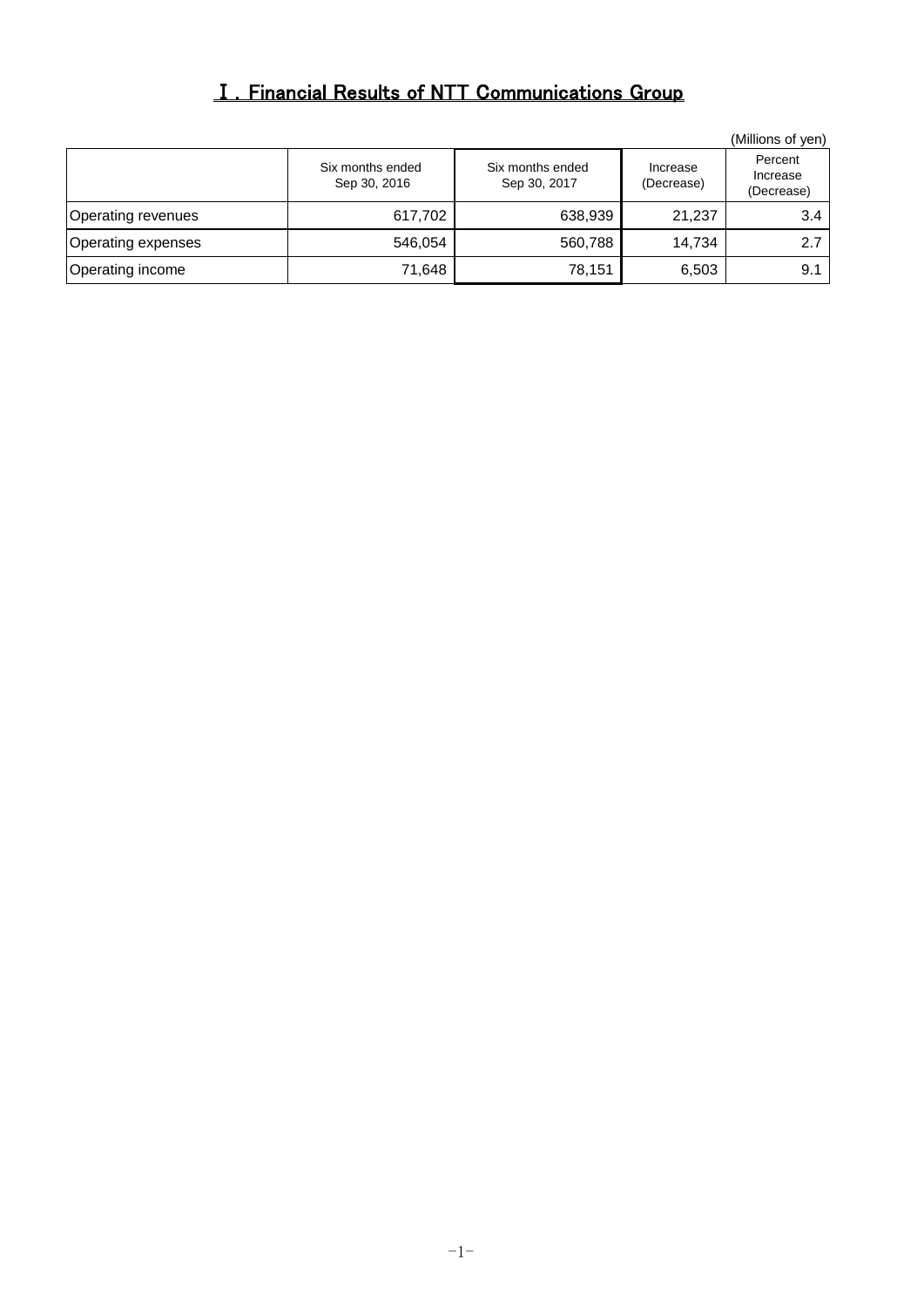# Ⅰ.Financial Results of NTT Communications Group

|                    |                                  |                                  |                        | (Millions of yen)                 |
|--------------------|----------------------------------|----------------------------------|------------------------|-----------------------------------|
|                    | Six months ended<br>Sep 30, 2016 | Six months ended<br>Sep 30, 2017 | Increase<br>(Decrease) | Percent<br>Increase<br>(Decrease) |
| Operating revenues | 617,702                          | 638,939                          | 21,237                 | 3.4                               |
| Operating expenses | 546,054                          | 560,788                          | 14,734                 | 2.7                               |
| Operating income   | 71,648                           | 78,151                           | 6,503                  | 9.1                               |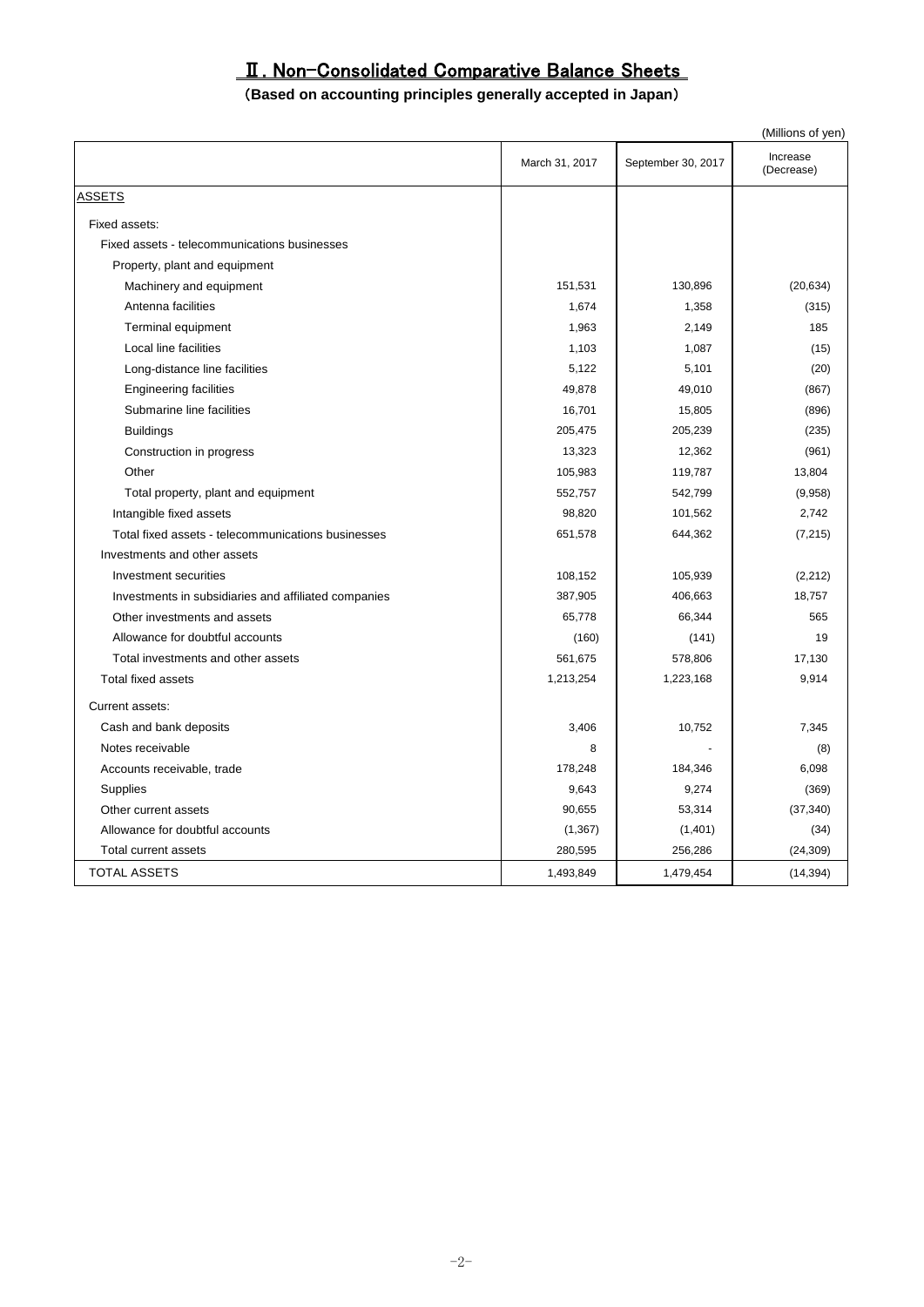# Ⅱ. Non-Consolidated Comparative Balance Sheets

#### (**Based on accounting principles generally accepted in Japan**)

|                                                      |                |                    | (Millions of yen)      |
|------------------------------------------------------|----------------|--------------------|------------------------|
|                                                      | March 31, 2017 | September 30, 2017 | Increase<br>(Decrease) |
| <u>ASSETS</u>                                        |                |                    |                        |
| Fixed assets:                                        |                |                    |                        |
| Fixed assets - telecommunications businesses         |                |                    |                        |
| Property, plant and equipment                        |                |                    |                        |
| Machinery and equipment                              | 151,531        | 130,896            | (20, 634)              |
| Antenna facilities                                   | 1,674          | 1,358              | (315)                  |
| Terminal equipment                                   | 1,963          | 2,149              | 185                    |
| Local line facilities                                | 1,103          | 1,087              | (15)                   |
| Long-distance line facilities                        | 5,122          | 5,101              | (20)                   |
| <b>Engineering facilities</b>                        | 49,878         | 49,010             | (867)                  |
| Submarine line facilities                            | 16,701         | 15,805             | (896)                  |
| <b>Buildings</b>                                     | 205,475        | 205,239            | (235)                  |
| Construction in progress                             | 13,323         | 12,362             | (961)                  |
| Other                                                | 105,983        | 119,787            | 13,804                 |
| Total property, plant and equipment                  | 552,757        | 542,799            | (9,958)                |
| Intangible fixed assets                              | 98,820         | 101,562            | 2,742                  |
| Total fixed assets - telecommunications businesses   | 651,578        | 644,362            | (7, 215)               |
| Investments and other assets                         |                |                    |                        |
| Investment securities                                | 108,152        | 105,939            | (2, 212)               |
| Investments in subsidiaries and affiliated companies | 387,905        | 406,663            | 18,757                 |
| Other investments and assets                         | 65,778         | 66,344             | 565                    |
| Allowance for doubtful accounts                      | (160)          | (141)              | 19                     |
| Total investments and other assets                   | 561,675        | 578,806            | 17,130                 |
| <b>Total fixed assets</b>                            | 1,213,254      | 1,223,168          | 9,914                  |
| Current assets:                                      |                |                    |                        |
| Cash and bank deposits                               | 3,406          | 10,752             | 7,345                  |
| Notes receivable                                     | 8              |                    | (8)                    |
| Accounts receivable, trade                           | 178,248        | 184,346            | 6,098                  |
| Supplies                                             | 9,643          | 9,274              | (369)                  |
| Other current assets                                 | 90,655         | 53,314             | (37, 340)              |
| Allowance for doubtful accounts                      | (1, 367)       | (1,401)            | (34)                   |
| Total current assets                                 | 280,595        | 256,286            | (24, 309)              |
| <b>TOTAL ASSETS</b>                                  | 1,493,849      | 1,479,454          | (14, 394)              |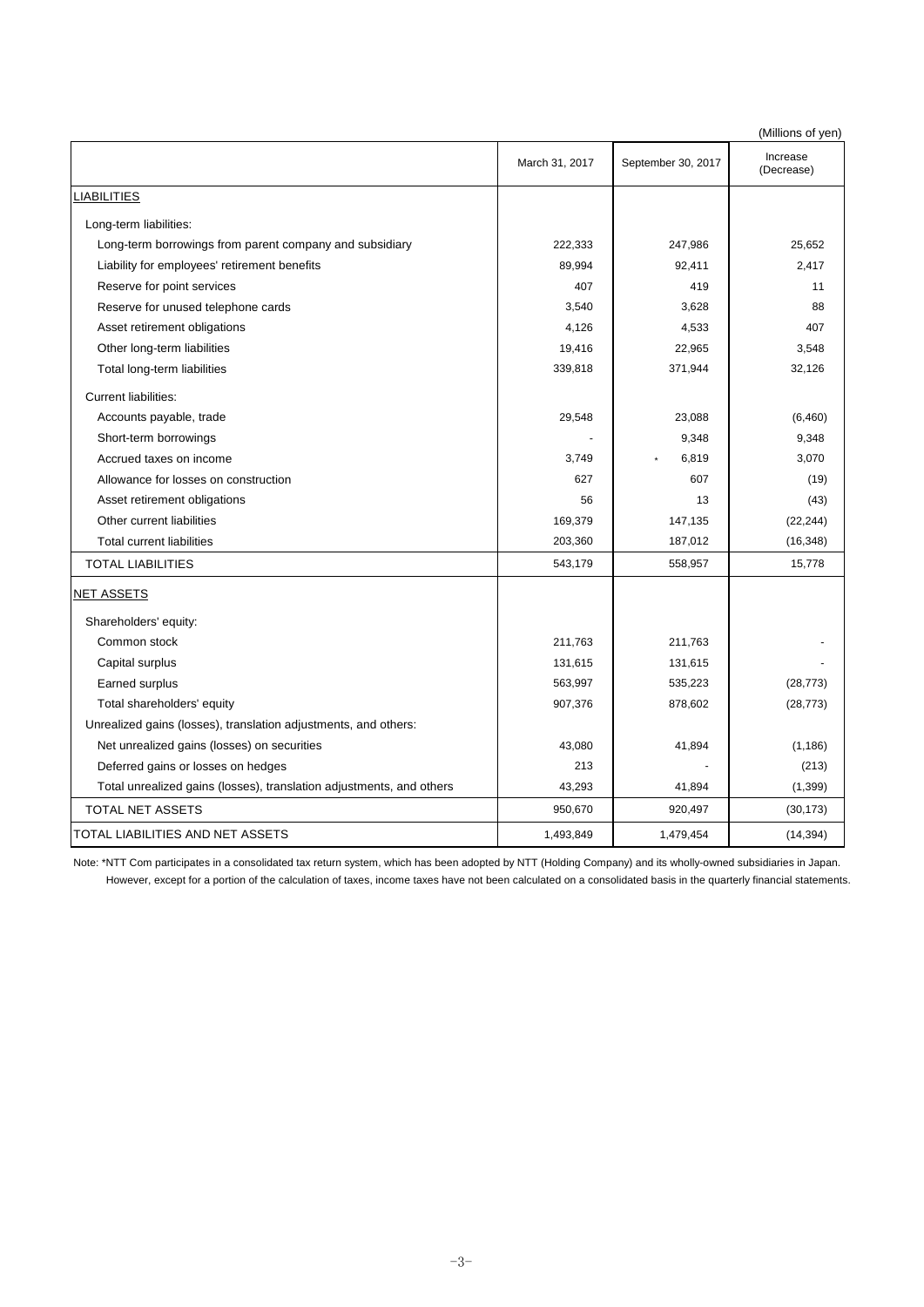|                                                                      |                |                    | (Millions of yen)      |
|----------------------------------------------------------------------|----------------|--------------------|------------------------|
|                                                                      | March 31, 2017 | September 30, 2017 | Increase<br>(Decrease) |
| <b>LIABILITIES</b>                                                   |                |                    |                        |
| Long-term liabilities:                                               |                |                    |                        |
| Long-term borrowings from parent company and subsidiary              | 222,333        | 247,986            | 25,652                 |
| Liability for employees' retirement benefits                         | 89,994         | 92,411             | 2,417                  |
| Reserve for point services                                           | 407            | 419                | 11                     |
| Reserve for unused telephone cards                                   | 3,540          | 3,628              | 88                     |
| Asset retirement obligations                                         | 4,126          | 4,533              | 407                    |
| Other long-term liabilities                                          | 19,416         | 22,965             | 3,548                  |
| Total long-term liabilities                                          | 339,818        | 371,944            | 32,126                 |
| <b>Current liabilities:</b>                                          |                |                    |                        |
| Accounts payable, trade                                              | 29,548         | 23,088             | (6, 460)               |
| Short-term borrowings                                                |                | 9,348              | 9,348                  |
| Accrued taxes on income                                              | 3,749          | 6,819              | 3,070                  |
| Allowance for losses on construction                                 | 627            | 607                | (19)                   |
| Asset retirement obligations                                         | 56             | 13                 | (43)                   |
| Other current liabilities                                            | 169,379        | 147,135            | (22, 244)              |
| <b>Total current liabilities</b>                                     | 203,360        | 187,012            | (16, 348)              |
| <b>TOTAL LIABILITIES</b>                                             | 543,179        | 558,957            | 15,778                 |
| <b>NET ASSETS</b>                                                    |                |                    |                        |
| Shareholders' equity:                                                |                |                    |                        |
| Common stock                                                         | 211,763        | 211,763            |                        |
| Capital surplus                                                      | 131,615        | 131,615            |                        |
| Earned surplus                                                       | 563,997        | 535,223            | (28, 773)              |
| Total shareholders' equity                                           | 907,376        | 878,602            | (28, 773)              |
| Unrealized gains (losses), translation adjustments, and others:      |                |                    |                        |
| Net unrealized gains (losses) on securities                          | 43,080         | 41,894             | (1, 186)               |
| Deferred gains or losses on hedges                                   | 213            |                    | (213)                  |
| Total unrealized gains (losses), translation adjustments, and others | 43,293         | 41,894             | (1, 399)               |
| TOTAL NET ASSETS                                                     | 950,670        | 920,497            | (30, 173)              |
| TOTAL LIABILITIES AND NET ASSETS                                     | 1,493,849      | 1,479,454          | (14, 394)              |

Note: \*NTT Com participates in a consolidated tax return system, which has been adopted by NTT (Holding Company) and its wholly-owned subsidiaries in Japan.

However, except for a portion of the calculation of taxes, income taxes have not been calculated on a consolidated basis in the quarterly financial statements.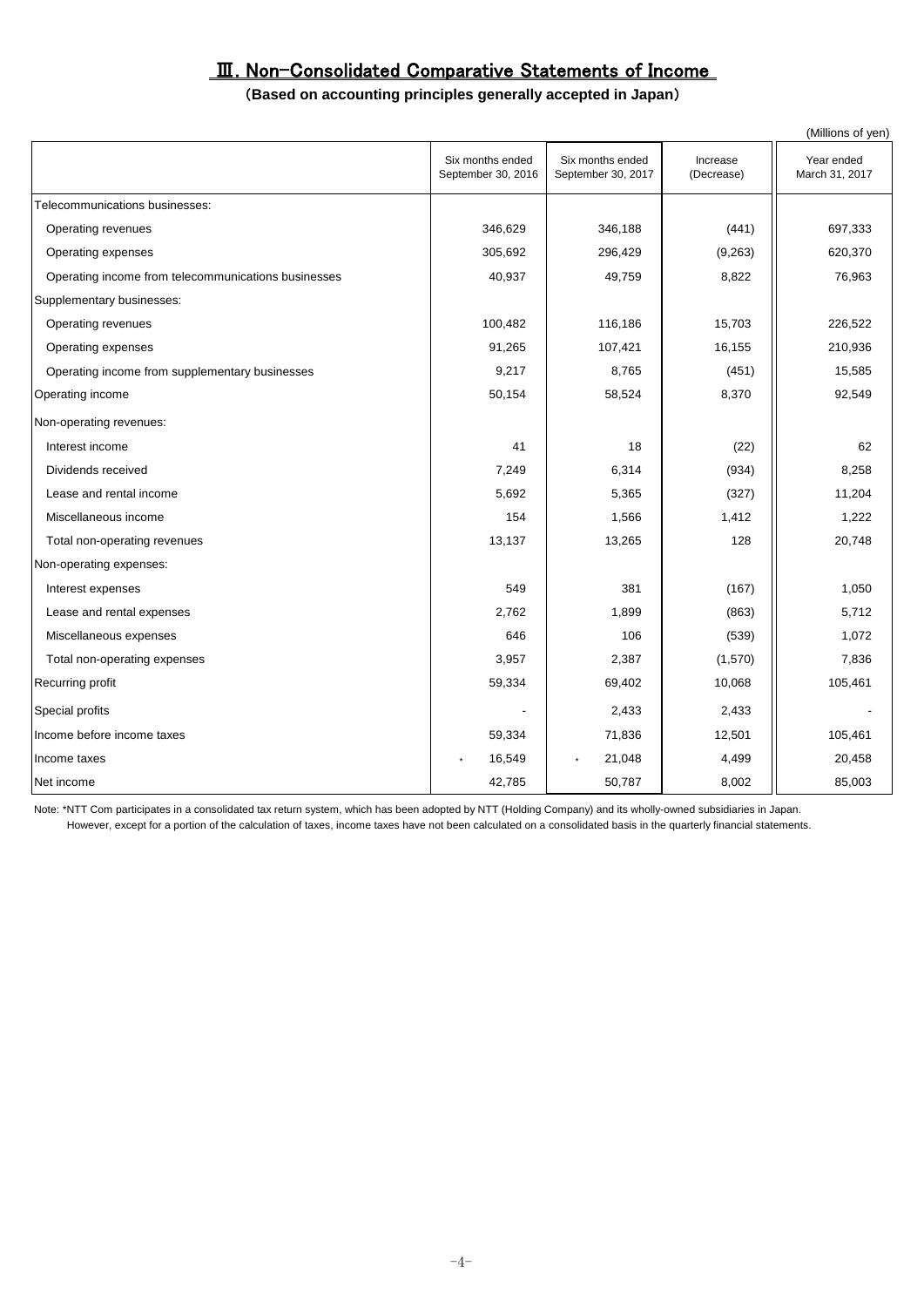#### Ⅲ. Non-Consolidated Comparative Statements of Income

#### (**Based on accounting principles generally accepted in Japan**)

|                                                     |                                        |                                        |                        | (Millions of yen)            |
|-----------------------------------------------------|----------------------------------------|----------------------------------------|------------------------|------------------------------|
|                                                     | Six months ended<br>September 30, 2016 | Six months ended<br>September 30, 2017 | Increase<br>(Decrease) | Year ended<br>March 31, 2017 |
| Telecommunications businesses:                      |                                        |                                        |                        |                              |
| Operating revenues                                  | 346.629                                | 346,188                                | (441)                  | 697,333                      |
| Operating expenses                                  | 305,692                                | 296,429                                | (9, 263)               | 620,370                      |
| Operating income from telecommunications businesses | 40,937                                 | 49,759                                 | 8,822                  | 76,963                       |
| Supplementary businesses:                           |                                        |                                        |                        |                              |
| Operating revenues                                  | 100,482                                | 116,186                                | 15,703                 | 226,522                      |
| Operating expenses                                  | 91,265                                 | 107,421                                | 16,155                 | 210,936                      |
| Operating income from supplementary businesses      | 9,217                                  | 8,765                                  | (451)                  | 15,585                       |
| Operating income                                    | 50,154                                 | 58,524                                 | 8,370                  | 92,549                       |
| Non-operating revenues:                             |                                        |                                        |                        |                              |
| Interest income                                     | 41                                     | 18                                     | (22)                   | 62                           |
| Dividends received                                  | 7,249                                  | 6,314                                  | (934)                  | 8,258                        |
| Lease and rental income                             | 5,692                                  | 5,365                                  | (327)                  | 11,204                       |
| Miscellaneous income                                | 154                                    | 1,566                                  | 1,412                  | 1,222                        |
| Total non-operating revenues                        | 13,137                                 | 13,265                                 | 128                    | 20,748                       |
| Non-operating expenses:                             |                                        |                                        |                        |                              |
| Interest expenses                                   | 549                                    | 381                                    | (167)                  | 1,050                        |
| Lease and rental expenses                           | 2,762                                  | 1,899                                  | (863)                  | 5,712                        |
| Miscellaneous expenses                              | 646                                    | 106                                    | (539)                  | 1,072                        |
| Total non-operating expenses                        | 3,957                                  | 2,387                                  | (1,570)                | 7,836                        |
| Recurring profit                                    | 59,334                                 | 69,402                                 | 10,068                 | 105,461                      |
| Special profits                                     |                                        | 2,433                                  | 2,433                  |                              |
| Income before income taxes                          | 59,334                                 | 71,836                                 | 12,501                 | 105,461                      |
| Income taxes                                        | 16,549                                 | 21,048<br>$\star$                      | 4,499                  | 20,458                       |
| Net income                                          | 42,785                                 | 50,787                                 | 8,002                  | 85,003                       |

Note: \*NTT Com participates in a consolidated tax return system, which has been adopted by NTT (Holding Company) and its wholly-owned subsidiaries in Japan. However, except for a portion of the calculation of taxes, income taxes have not been calculated on a consolidated basis in the quarterly financial statements.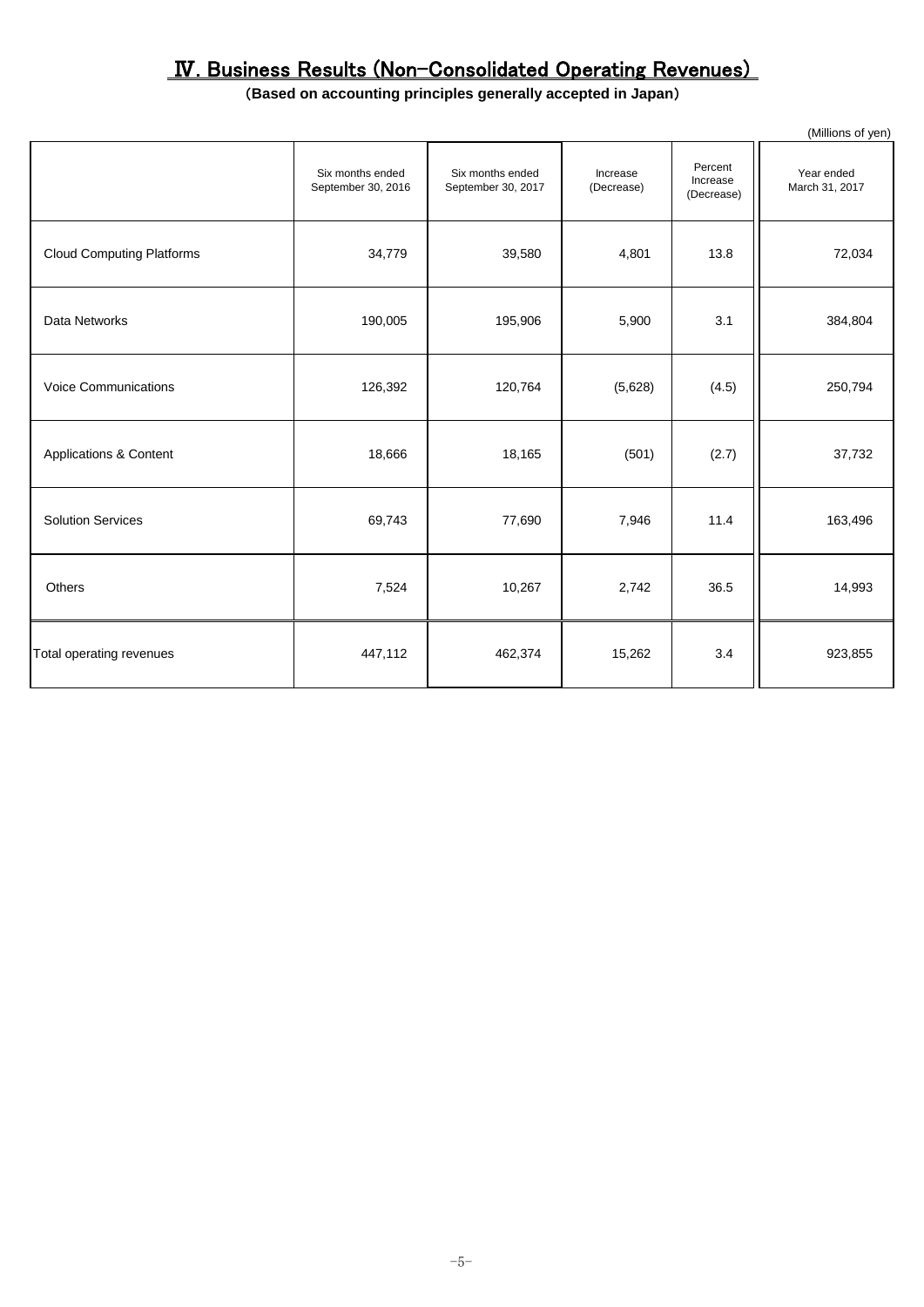# Ⅳ. Business Results (Non-Consolidated Operating Revenues)

### (**Based on accounting principles generally accepted in Japan**)

|                                   |                                        |                                        |                        |                                   | (Millions of yen)            |
|-----------------------------------|----------------------------------------|----------------------------------------|------------------------|-----------------------------------|------------------------------|
|                                   | Six months ended<br>September 30, 2016 | Six months ended<br>September 30, 2017 | Increase<br>(Decrease) | Percent<br>Increase<br>(Decrease) | Year ended<br>March 31, 2017 |
| <b>Cloud Computing Platforms</b>  | 34,779                                 | 39,580                                 | 4,801                  | 13.8                              | 72,034                       |
| Data Networks                     | 190,005                                | 195,906                                | 5,900                  | 3.1                               | 384,804                      |
| <b>Voice Communications</b>       | 126,392                                | 120,764                                | (5,628)                | (4.5)                             | 250,794                      |
| <b>Applications &amp; Content</b> | 18,666                                 | 18,165                                 | (501)                  | (2.7)                             | 37,732                       |
| <b>Solution Services</b>          | 69,743                                 | 77,690                                 | 7,946                  | 11.4                              | 163,496                      |
| <b>Others</b>                     | 7,524                                  | 10,267                                 | 2,742                  | 36.5                              | 14,993                       |
| Total operating revenues          | 447,112                                | 462,374                                | 15,262                 | 3.4                               | 923,855                      |